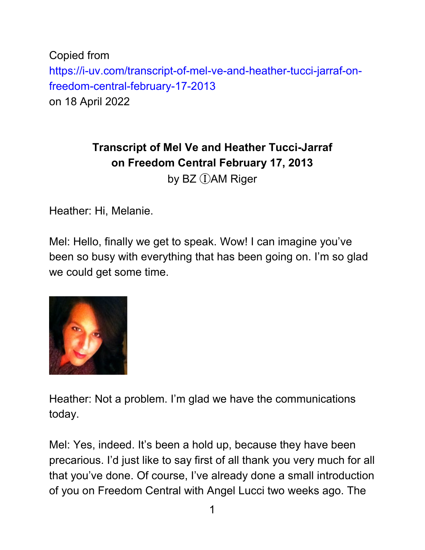Copied from https://i-uv.com/transcript-of-mel-ve-and-heather-tucci-jarraf-onfreedom-central-february-17-2013 on 18 April 2022

## **Transcript of Mel Ve and Heather Tucci-Jarraf on Freedom Central February 17, 2013**

by BZ *DAM* Riger

Heather: Hi, Melanie.

Mel: Hello, finally we get to speak. Wow! I can imagine you've been so busy with everything that has been going on. I'm so glad we could get some time.



Heather: Not a problem. I'm glad we have the communications today.

Mel: Yes, indeed. It's been a hold up, because they have been precarious. I'd just like to say first of all thank you very much for all that you've done. Of course, I've already done a small introduction of you on Freedom Central with Angel Lucci two weeks ago. The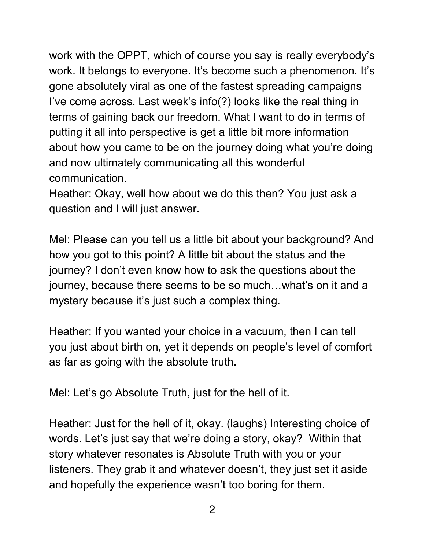work with the OPPT, which of course you say is really everybody's work. It belongs to everyone. It's become such a phenomenon. It's gone absolutely viral as one of the fastest spreading campaigns I've come across. Last week's info(?) looks like the real thing in terms of gaining back our freedom. What I want to do in terms of putting it all into perspective is get a little bit more information about how you came to be on the journey doing what you're doing and now ultimately communicating all this wonderful communication.

Heather: Okay, well how about we do this then? You just ask a question and I will just answer.

Mel: Please can you tell us a little bit about your background? And how you got to this point? A little bit about the status and the journey? I don't even know how to ask the questions about the journey, because there seems to be so much…what's on it and a mystery because it's just such a complex thing.

Heather: If you wanted your choice in a vacuum, then I can tell you just about birth on, yet it depends on people's level of comfort as far as going with the absolute truth.

Mel: Let's go Absolute Truth, just for the hell of it.

Heather: Just for the hell of it, okay. (laughs) Interesting choice of words. Let's just say that we're doing a story, okay? Within that story whatever resonates is Absolute Truth with you or your listeners. They grab it and whatever doesn't, they just set it aside and hopefully the experience wasn't too boring for them.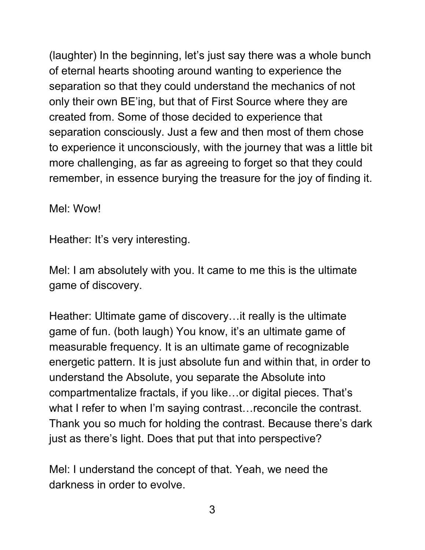(laughter) In the beginning, let's just say there was a whole bunch of eternal hearts shooting around wanting to experience the separation so that they could understand the mechanics of not only their own BE'ing, but that of First Source where they are created from. Some of those decided to experience that separation consciously. Just a few and then most of them chose to experience it unconsciously, with the journey that was a little bit more challenging, as far as agreeing to forget so that they could remember, in essence burying the treasure for the joy of finding it.

Mel: Wow!

Heather: It's very interesting.

Mel: I am absolutely with you. It came to me this is the ultimate game of discovery.

Heather: Ultimate game of discovery…it really is the ultimate game of fun. (both laugh) You know, it's an ultimate game of measurable frequency. It is an ultimate game of recognizable energetic pattern. It is just absolute fun and within that, in order to understand the Absolute, you separate the Absolute into compartmentalize fractals, if you like…or digital pieces. That's what I refer to when I'm saying contrast…reconcile the contrast. Thank you so much for holding the contrast. Because there's dark just as there's light. Does that put that into perspective?

Mel: I understand the concept of that. Yeah, we need the darkness in order to evolve.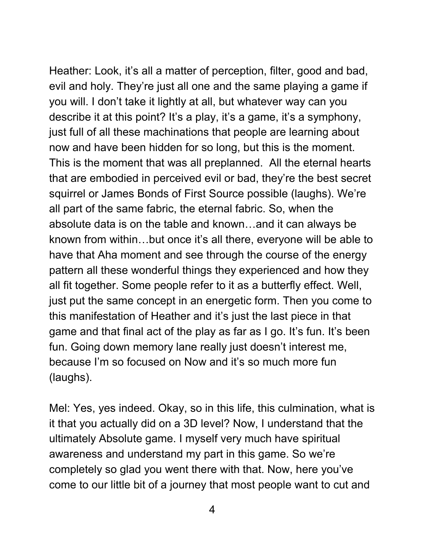Heather: Look, it's all a matter of perception, filter, good and bad, evil and holy. They're just all one and the same playing a game if you will. I don't take it lightly at all, but whatever way can you describe it at this point? It's a play, it's a game, it's a symphony, just full of all these machinations that people are learning about now and have been hidden for so long, but this is the moment. This is the moment that was all preplanned. All the eternal hearts that are embodied in perceived evil or bad, they're the best secret squirrel or James Bonds of First Source possible (laughs). We're all part of the same fabric, the eternal fabric. So, when the absolute data is on the table and known…and it can always be known from within…but once it's all there, everyone will be able to have that Aha moment and see through the course of the energy pattern all these wonderful things they experienced and how they all fit together. Some people refer to it as a butterfly effect. Well, just put the same concept in an energetic form. Then you come to this manifestation of Heather and it's just the last piece in that game and that final act of the play as far as I go. It's fun. It's been fun. Going down memory lane really just doesn't interest me, because I'm so focused on Now and it's so much more fun (laughs).

Mel: Yes, yes indeed. Okay, so in this life, this culmination, what is it that you actually did on a 3D level? Now, I understand that the ultimately Absolute game. I myself very much have spiritual awareness and understand my part in this game. So we're completely so glad you went there with that. Now, here you've come to our little bit of a journey that most people want to cut and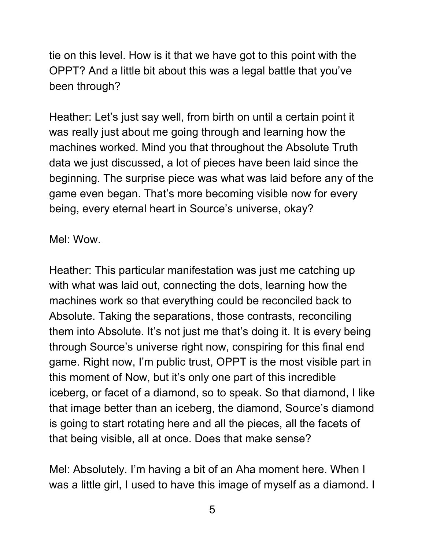tie on this level. How is it that we have got to this point with the OPPT? And a little bit about this was a legal battle that you've been through?

Heather: Let's just say well, from birth on until a certain point it was really just about me going through and learning how the machines worked. Mind you that throughout the Absolute Truth data we just discussed, a lot of pieces have been laid since the beginning. The surprise piece was what was laid before any of the game even began. That's more becoming visible now for every being, every eternal heart in Source's universe, okay?

Mel: Wow.

Heather: This particular manifestation was just me catching up with what was laid out, connecting the dots, learning how the machines work so that everything could be reconciled back to Absolute. Taking the separations, those contrasts, reconciling them into Absolute. It's not just me that's doing it. It is every being through Source's universe right now, conspiring for this final end game. Right now, I'm public trust, OPPT is the most visible part in this moment of Now, but it's only one part of this incredible iceberg, or facet of a diamond, so to speak. So that diamond, I like that image better than an iceberg, the diamond, Source's diamond is going to start rotating here and all the pieces, all the facets of that being visible, all at once. Does that make sense?

Mel: Absolutely. I'm having a bit of an Aha moment here. When I was a little girl, I used to have this image of myself as a diamond. I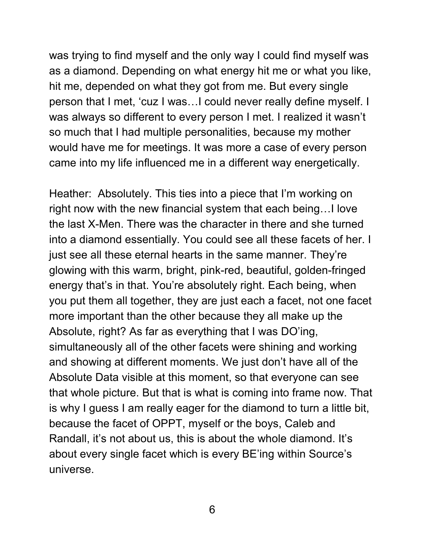was trying to find myself and the only way I could find myself was as a diamond. Depending on what energy hit me or what you like, hit me, depended on what they got from me. But every single person that I met, 'cuz I was…I could never really define myself. I was always so different to every person I met. I realized it wasn't so much that I had multiple personalities, because my mother would have me for meetings. It was more a case of every person came into my life influenced me in a different way energetically.

Heather: Absolutely. This ties into a piece that I'm working on right now with the new financial system that each being…I love the last X-Men. There was the character in there and she turned into a diamond essentially. You could see all these facets of her. I just see all these eternal hearts in the same manner. They're glowing with this warm, bright, pink-red, beautiful, golden-fringed energy that's in that. You're absolutely right. Each being, when you put them all together, they are just each a facet, not one facet more important than the other because they all make up the Absolute, right? As far as everything that I was DO'ing, simultaneously all of the other facets were shining and working and showing at different moments. We just don't have all of the Absolute Data visible at this moment, so that everyone can see that whole picture. But that is what is coming into frame now. That is why I guess I am really eager for the diamond to turn a little bit, because the facet of OPPT, myself or the boys, Caleb and Randall, it's not about us, this is about the whole diamond. It's about every single facet which is every BE'ing within Source's universe.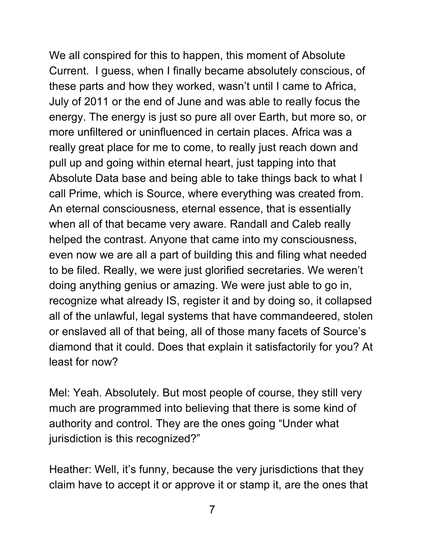We all conspired for this to happen, this moment of Absolute Current. I guess, when I finally became absolutely conscious, of these parts and how they worked, wasn't until I came to Africa, July of 2011 or the end of June and was able to really focus the energy. The energy is just so pure all over Earth, but more so, or more unfiltered or uninfluenced in certain places. Africa was a really great place for me to come, to really just reach down and pull up and going within eternal heart, just tapping into that Absolute Data base and being able to take things back to what I call Prime, which is Source, where everything was created from. An eternal consciousness, eternal essence, that is essentially when all of that became very aware. Randall and Caleb really helped the contrast. Anyone that came into my consciousness, even now we are all a part of building this and filing what needed to be filed. Really, we were just glorified secretaries. We weren't doing anything genius or amazing. We were just able to go in, recognize what already IS, register it and by doing so, it collapsed all of the unlawful, legal systems that have commandeered, stolen or enslaved all of that being, all of those many facets of Source's diamond that it could. Does that explain it satisfactorily for you? At least for now?

Mel: Yeah. Absolutely. But most people of course, they still very much are programmed into believing that there is some kind of authority and control. They are the ones going "Under what jurisdiction is this recognized?"

Heather: Well, it's funny, because the very jurisdictions that they claim have to accept it or approve it or stamp it, are the ones that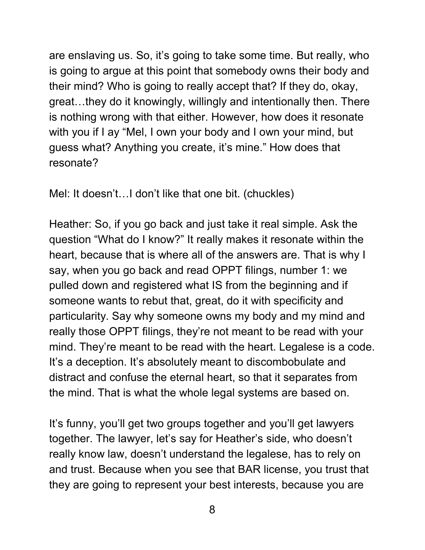are enslaving us. So, it's going to take some time. But really, who is going to argue at this point that somebody owns their body and their mind? Who is going to really accept that? If they do, okay, great…they do it knowingly, willingly and intentionally then. There is nothing wrong with that either. However, how does it resonate with you if I ay "Mel, I own your body and I own your mind, but guess what? Anything you create, it's mine." How does that resonate?

Mel: It doesn't…I don't like that one bit. (chuckles)

Heather: So, if you go back and just take it real simple. Ask the question "What do I know?" It really makes it resonate within the heart, because that is where all of the answers are. That is why I say, when you go back and read OPPT filings, number 1: we pulled down and registered what IS from the beginning and if someone wants to rebut that, great, do it with specificity and particularity. Say why someone owns my body and my mind and really those OPPT filings, they're not meant to be read with your mind. They're meant to be read with the heart. Legalese is a code. It's a deception. It's absolutely meant to discombobulate and distract and confuse the eternal heart, so that it separates from the mind. That is what the whole legal systems are based on.

It's funny, you'll get two groups together and you'll get lawyers together. The lawyer, let's say for Heather's side, who doesn't really know law, doesn't understand the legalese, has to rely on and trust. Because when you see that BAR license, you trust that they are going to represent your best interests, because you are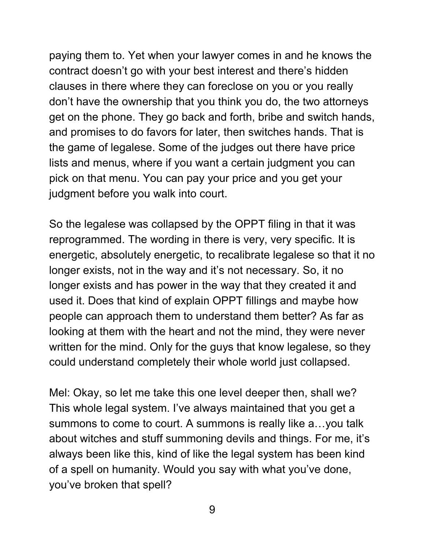paying them to. Yet when your lawyer comes in and he knows the contract doesn't go with your best interest and there's hidden clauses in there where they can foreclose on you or you really don't have the ownership that you think you do, the two attorneys get on the phone. They go back and forth, bribe and switch hands, and promises to do favors for later, then switches hands. That is the game of legalese. Some of the judges out there have price lists and menus, where if you want a certain judgment you can pick on that menu. You can pay your price and you get your judgment before you walk into court.

So the legalese was collapsed by the OPPT filing in that it was reprogrammed. The wording in there is very, very specific. It is energetic, absolutely energetic, to recalibrate legalese so that it no longer exists, not in the way and it's not necessary. So, it no longer exists and has power in the way that they created it and used it. Does that kind of explain OPPT fillings and maybe how people can approach them to understand them better? As far as looking at them with the heart and not the mind, they were never written for the mind. Only for the guys that know legalese, so they could understand completely their whole world just collapsed.

Mel: Okay, so let me take this one level deeper then, shall we? This whole legal system. I've always maintained that you get a summons to come to court. A summons is really like a…you talk about witches and stuff summoning devils and things. For me, it's always been like this, kind of like the legal system has been kind of a spell on humanity. Would you say with what you've done, you've broken that spell?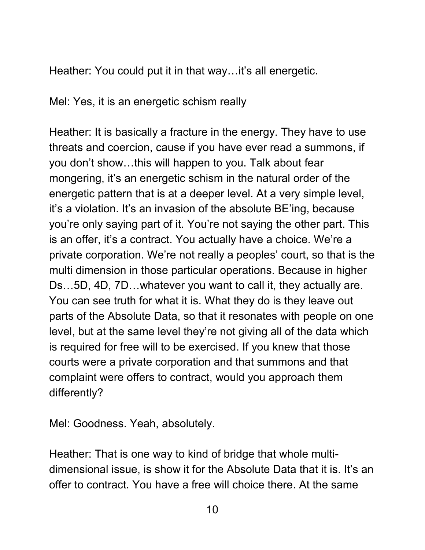Heather: You could put it in that way... it's all energetic.

Mel: Yes, it is an energetic schism really

Heather: It is basically a fracture in the energy. They have to use threats and coercion, cause if you have ever read a summons, if you don't show…this will happen to you. Talk about fear mongering, it's an energetic schism in the natural order of the energetic pattern that is at a deeper level. At a very simple level, it's a violation. It's an invasion of the absolute BE'ing, because you're only saying part of it. You're not saying the other part. This is an offer, it's a contract. You actually have a choice. We're a private corporation. We're not really a peoples' court, so that is the multi dimension in those particular operations. Because in higher Ds…5D, 4D, 7D…whatever you want to call it, they actually are. You can see truth for what it is. What they do is they leave out parts of the Absolute Data, so that it resonates with people on one level, but at the same level they're not giving all of the data which is required for free will to be exercised. If you knew that those courts were a private corporation and that summons and that complaint were offers to contract, would you approach them differently?

Mel: Goodness. Yeah, absolutely.

Heather: That is one way to kind of bridge that whole multidimensional issue, is show it for the Absolute Data that it is. It's an offer to contract. You have a free will choice there. At the same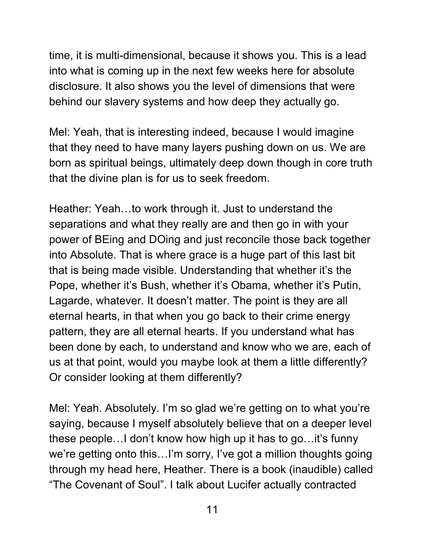time, it is multi-dimensional, because it shows you. This is a lead into what is coming up in the next few weeks here for absolute disclosure. It also shows you the level of dimensions that were behind our slavery systems and how deep they actually go.

Mel: Yeah, that is interesting indeed, because I would imagine that they need to have many layers pushing down on us. We are born as spiritual beings, ultimately deep down though in core truth that the divine plan is for us to seek freedom.

Heather: Yeah…to work through it. Just to understand the separations and what they really are and then go in with your power of BEing and DOing and just reconcile those back together into Absolute. That is where grace is a huge part of this last bit that is being made visible. Understanding that whether it's the Pope, whether it's Bush, whether it's Obama, whether it's Putin, Lagarde, whatever. It doesn't matter. The point is they are all eternal hearts, in that when you go back to their crime energy pattern, they are all eternal hearts. If you understand what has been done by each, to understand and know who we are, each of us at that point, would you maybe look at them a little differently? Or consider looking at them differently?

Mel: Yeah. Absolutely. I'm so glad we're getting on to what you're saying, because I myself absolutely believe that on a deeper level these people…I don't know how high up it has to go…it's funny we're getting onto this…I'm sorry, I've got a million thoughts going through my head here, Heather. There is a book (inaudible) called "The Covenant of Soul". I talk about Lucifer actually contracted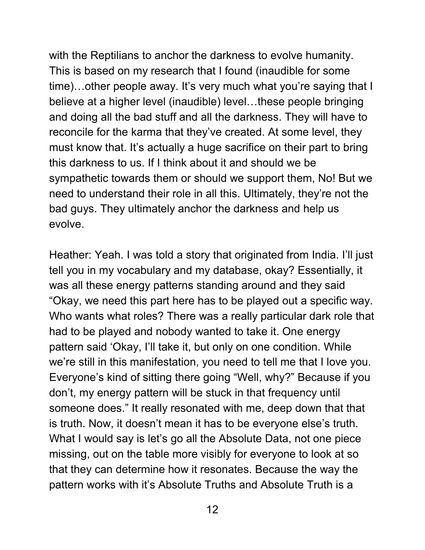with the Reptilians to anchor the darkness to evolve humanity. This is based on my research that I found (inaudible for some time)…other people away. It's very much what you're saying that I believe at a higher level (inaudible) level…these people bringing and doing all the bad stuff and all the darkness. They will have to reconcile for the karma that they've created. At some level, they must know that. It's actually a huge sacrifice on their part to bring this darkness to us. If I think about it and should we be sympathetic towards them or should we support them, No! But we need to understand their role in all this. Ultimately, they're not the bad guys. They ultimately anchor the darkness and help us evolve.

Heather: Yeah. I was told a story that originated from India. I'll just tell you in my vocabulary and my database, okay? Essentially, it was all these energy patterns standing around and they said "Okay, we need this part here has to be played out a specific way. Who wants what roles? There was a really particular dark role that had to be played and nobody wanted to take it. One energy pattern said 'Okay, I'll take it, but only on one condition. While we're still in this manifestation, you need to tell me that I love you. Everyone's kind of sitting there going "Well, why?" Because if you don't, my energy pattern will be stuck in that frequency until someone does." It really resonated with me, deep down that that is truth. Now, it doesn't mean it has to be everyone else's truth. What I would say is let's go all the Absolute Data, not one piece missing, out on the table more visibly for everyone to look at so that they can determine how it resonates. Because the way the pattern works with it's Absolute Truths and Absolute Truth is a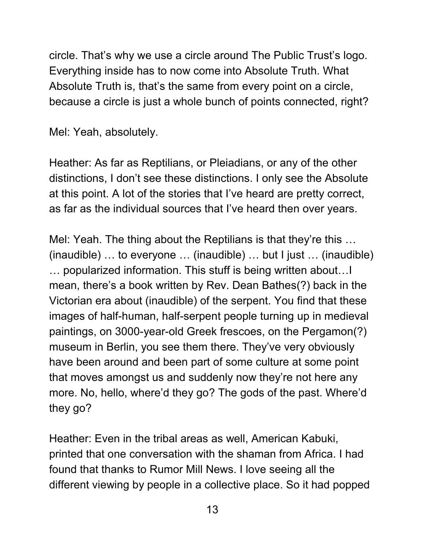circle. That's why we use a circle around The Public Trust's logo. Everything inside has to now come into Absolute Truth. What Absolute Truth is, that's the same from every point on a circle, because a circle is just a whole bunch of points connected, right?

Mel: Yeah, absolutely.

Heather: As far as Reptilians, or Pleiadians, or any of the other distinctions, I don't see these distinctions. I only see the Absolute at this point. A lot of the stories that I've heard are pretty correct, as far as the individual sources that I've heard then over years.

Mel: Yeah. The thing about the Reptilians is that they're this … (inaudible) … to everyone … (inaudible) … but I just … (inaudible) … popularized information. This stuff is being written about…I mean, there's a book written by Rev. Dean Bathes(?) back in the Victorian era about (inaudible) of the serpent. You find that these images of half-human, half-serpent people turning up in medieval paintings, on 3000-year-old Greek frescoes, on the Pergamon(?) museum in Berlin, you see them there. They've very obviously have been around and been part of some culture at some point that moves amongst us and suddenly now they're not here any more. No, hello, where'd they go? The gods of the past. Where'd they go?

Heather: Even in the tribal areas as well, American Kabuki, printed that one conversation with the shaman from Africa. I had found that thanks to Rumor Mill News. I love seeing all the different viewing by people in a collective place. So it had popped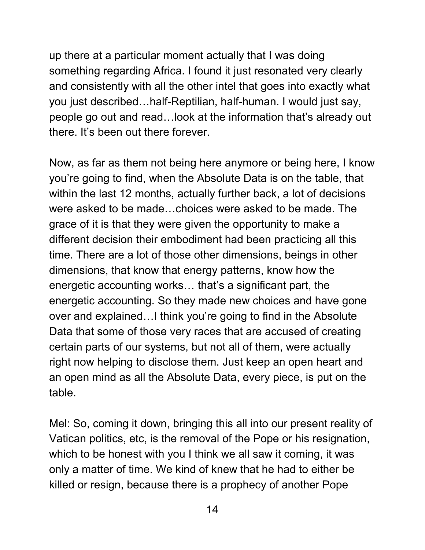up there at a particular moment actually that I was doing something regarding Africa. I found it just resonated very clearly and consistently with all the other intel that goes into exactly what you just described…half-Reptilian, half-human. I would just say, people go out and read…look at the information that's already out there. It's been out there forever.

Now, as far as them not being here anymore or being here, I know you're going to find, when the Absolute Data is on the table, that within the last 12 months, actually further back, a lot of decisions were asked to be made…choices were asked to be made. The grace of it is that they were given the opportunity to make a different decision their embodiment had been practicing all this time. There are a lot of those other dimensions, beings in other dimensions, that know that energy patterns, know how the energetic accounting works… that's a significant part, the energetic accounting. So they made new choices and have gone over and explained…I think you're going to find in the Absolute Data that some of those very races that are accused of creating certain parts of our systems, but not all of them, were actually right now helping to disclose them. Just keep an open heart and an open mind as all the Absolute Data, every piece, is put on the table.

Mel: So, coming it down, bringing this all into our present reality of Vatican politics, etc, is the removal of the Pope or his resignation, which to be honest with you I think we all saw it coming, it was only a matter of time. We kind of knew that he had to either be killed or resign, because there is a prophecy of another Pope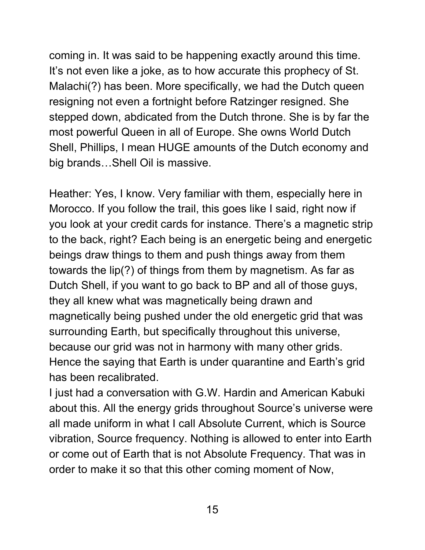coming in. It was said to be happening exactly around this time. It's not even like a joke, as to how accurate this prophecy of St. Malachi(?) has been. More specifically, we had the Dutch queen resigning not even a fortnight before Ratzinger resigned. She stepped down, abdicated from the Dutch throne. She is by far the most powerful Queen in all of Europe. She owns World Dutch Shell, Phillips, I mean HUGE amounts of the Dutch economy and big brands…Shell Oil is massive.

Heather: Yes, I know. Very familiar with them, especially here in Morocco. If you follow the trail, this goes like I said, right now if you look at your credit cards for instance. There's a magnetic strip to the back, right? Each being is an energetic being and energetic beings draw things to them and push things away from them towards the lip(?) of things from them by magnetism. As far as Dutch Shell, if you want to go back to BP and all of those guys, they all knew what was magnetically being drawn and magnetically being pushed under the old energetic grid that was surrounding Earth, but specifically throughout this universe, because our grid was not in harmony with many other grids. Hence the saying that Earth is under quarantine and Earth's grid has been recalibrated.

I just had a conversation with G.W. Hardin and American Kabuki about this. All the energy grids throughout Source's universe were all made uniform in what I call Absolute Current, which is Source vibration, Source frequency. Nothing is allowed to enter into Earth or come out of Earth that is not Absolute Frequency. That was in order to make it so that this other coming moment of Now,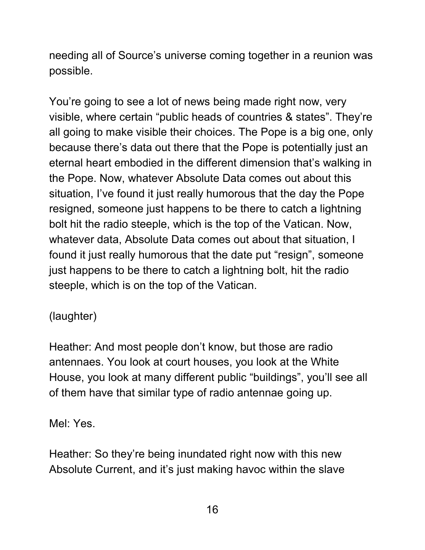needing all of Source's universe coming together in a reunion was possible.

You're going to see a lot of news being made right now, very visible, where certain "public heads of countries & states". They're all going to make visible their choices. The Pope is a big one, only because there's data out there that the Pope is potentially just an eternal heart embodied in the different dimension that's walking in the Pope. Now, whatever Absolute Data comes out about this situation, I've found it just really humorous that the day the Pope resigned, someone just happens to be there to catch a lightning bolt hit the radio steeple, which is the top of the Vatican. Now, whatever data, Absolute Data comes out about that situation, I found it just really humorous that the date put "resign", someone just happens to be there to catch a lightning bolt, hit the radio steeple, which is on the top of the Vatican.

## (laughter)

Heather: And most people don't know, but those are radio antennaes. You look at court houses, you look at the White House, you look at many different public "buildings", you'll see all of them have that similar type of radio antennae going up.

## Mel: Yes.

Heather: So they're being inundated right now with this new Absolute Current, and it's just making havoc within the slave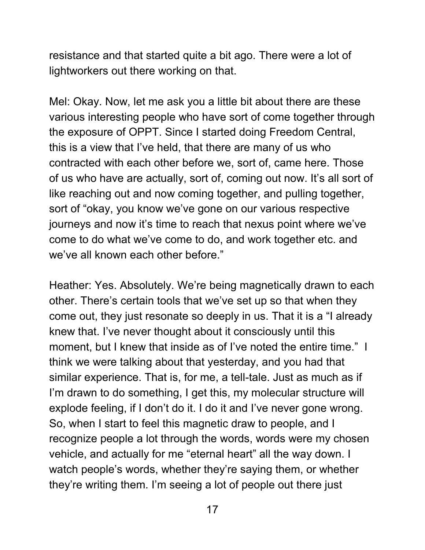resistance and that started quite a bit ago. There were a lot of lightworkers out there working on that.

Mel: Okay. Now, let me ask you a little bit about there are these various interesting people who have sort of come together through the exposure of OPPT. Since I started doing Freedom Central, this is a view that I've held, that there are many of us who contracted with each other before we, sort of, came here. Those of us who have are actually, sort of, coming out now. It's all sort of like reaching out and now coming together, and pulling together, sort of "okay, you know we've gone on our various respective journeys and now it's time to reach that nexus point where we've come to do what we've come to do, and work together etc. and we've all known each other before."

Heather: Yes. Absolutely. We're being magnetically drawn to each other. There's certain tools that we've set up so that when they come out, they just resonate so deeply in us. That it is a "I already knew that. I've never thought about it consciously until this moment, but I knew that inside as of I've noted the entire time." I think we were talking about that yesterday, and you had that similar experience. That is, for me, a tell-tale. Just as much as if I'm drawn to do something, I get this, my molecular structure will explode feeling, if I don't do it. I do it and I've never gone wrong. So, when I start to feel this magnetic draw to people, and I recognize people a lot through the words, words were my chosen vehicle, and actually for me "eternal heart" all the way down. I watch people's words, whether they're saying them, or whether they're writing them. I'm seeing a lot of people out there just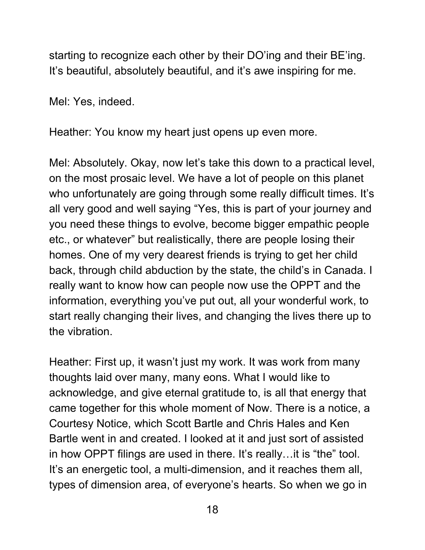starting to recognize each other by their DO'ing and their BE'ing. It's beautiful, absolutely beautiful, and it's awe inspiring for me.

Mel: Yes, indeed.

Heather: You know my heart just opens up even more.

Mel: Absolutely. Okay, now let's take this down to a practical level, on the most prosaic level. We have a lot of people on this planet who unfortunately are going through some really difficult times. It's all very good and well saying "Yes, this is part of your journey and you need these things to evolve, become bigger empathic people etc., or whatever" but realistically, there are people losing their homes. One of my very dearest friends is trying to get her child back, through child abduction by the state, the child's in Canada. I really want to know how can people now use the OPPT and the information, everything you've put out, all your wonderful work, to start really changing their lives, and changing the lives there up to the vibration.

Heather: First up, it wasn't just my work. It was work from many thoughts laid over many, many eons. What I would like to acknowledge, and give eternal gratitude to, is all that energy that came together for this whole moment of Now. There is a notice, a Courtesy Notice, which Scott Bartle and Chris Hales and Ken Bartle went in and created. I looked at it and just sort of assisted in how OPPT filings are used in there. It's really…it is "the" tool. It's an energetic tool, a multi-dimension, and it reaches them all, types of dimension area, of everyone's hearts. So when we go in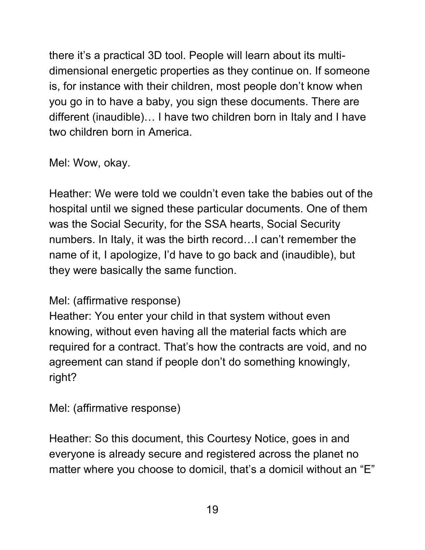there it's a practical 3D tool. People will learn about its multidimensional energetic properties as they continue on. If someone is, for instance with their children, most people don't know when you go in to have a baby, you sign these documents. There are different (inaudible)… I have two children born in Italy and I have two children born in America.

Mel: Wow, okay.

Heather: We were told we couldn't even take the babies out of the hospital until we signed these particular documents. One of them was the Social Security, for the SSA hearts, Social Security numbers. In Italy, it was the birth record…I can't remember the name of it, I apologize, I'd have to go back and (inaudible), but they were basically the same function.

Mel: (affirmative response)

Heather: You enter your child in that system without even knowing, without even having all the material facts which are required for a contract. That's how the contracts are void, and no agreement can stand if people don't do something knowingly, right?

Mel: (affirmative response)

Heather: So this document, this Courtesy Notice, goes in and everyone is already secure and registered across the planet no matter where you choose to domicil, that's a domicil without an "E"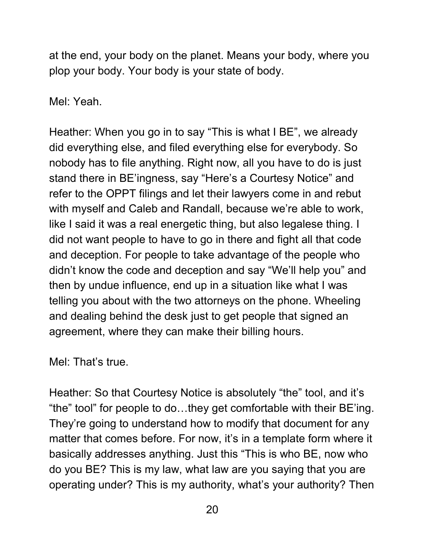at the end, your body on the planet. Means your body, where you plop your body. Your body is your state of body.

Mel: Yeah.

Heather: When you go in to say "This is what I BE", we already did everything else, and filed everything else for everybody. So nobody has to file anything. Right now, all you have to do is just stand there in BE'ingness, say "Here's a Courtesy Notice" and refer to the OPPT filings and let their lawyers come in and rebut with myself and Caleb and Randall, because we're able to work, like I said it was a real energetic thing, but also legalese thing. I did not want people to have to go in there and fight all that code and deception. For people to take advantage of the people who didn't know the code and deception and say "We'll help you" and then by undue influence, end up in a situation like what I was telling you about with the two attorneys on the phone. Wheeling and dealing behind the desk just to get people that signed an agreement, where they can make their billing hours.

Mel: That's true.

Heather: So that Courtesy Notice is absolutely "the" tool, and it's "the" tool" for people to do…they get comfortable with their BE'ing. They're going to understand how to modify that document for any matter that comes before. For now, it's in a template form where it basically addresses anything. Just this "This is who BE, now who do you BE? This is my law, what law are you saying that you are operating under? This is my authority, what's your authority? Then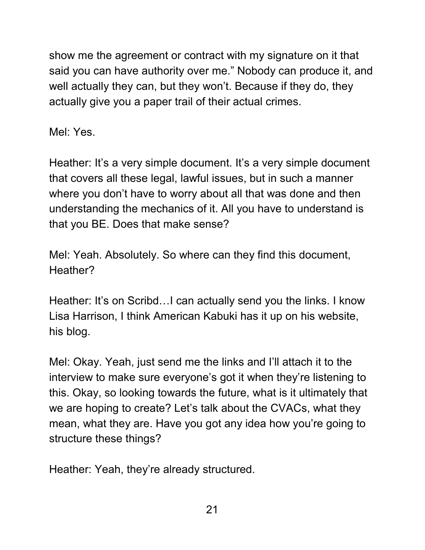show me the agreement or contract with my signature on it that said you can have authority over me." Nobody can produce it, and well actually they can, but they won't. Because if they do, they actually give you a paper trail of their actual crimes.

Mel: Yes.

Heather: It's a very simple document. It's a very simple document that covers all these legal, lawful issues, but in such a manner where you don't have to worry about all that was done and then understanding the mechanics of it. All you have to understand is that you BE. Does that make sense?

Mel: Yeah. Absolutely. So where can they find this document, Heather?

Heather: It's on Scribd...I can actually send you the links. I know Lisa Harrison, I think American Kabuki has it up on his website, his blog.

Mel: Okay. Yeah, just send me the links and I'll attach it to the interview to make sure everyone's got it when they're listening to this. Okay, so looking towards the future, what is it ultimately that we are hoping to create? Let's talk about the CVACs, what they mean, what they are. Have you got any idea how you're going to structure these things?

Heather: Yeah, they're already structured.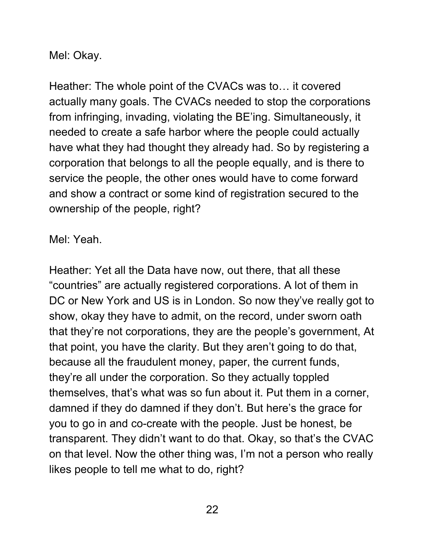Mel: Okay.

Heather: The whole point of the CVACs was to… it covered actually many goals. The CVACs needed to stop the corporations from infringing, invading, violating the BE'ing. Simultaneously, it needed to create a safe harbor where the people could actually have what they had thought they already had. So by registering a corporation that belongs to all the people equally, and is there to service the people, the other ones would have to come forward and show a contract or some kind of registration secured to the ownership of the people, right?

Mel: Yeah.

Heather: Yet all the Data have now, out there, that all these "countries" are actually registered corporations. A lot of them in DC or New York and US is in London. So now they've really got to show, okay they have to admit, on the record, under sworn oath that they're not corporations, they are the people's government, At that point, you have the clarity. But they aren't going to do that, because all the fraudulent money, paper, the current funds, they're all under the corporation. So they actually toppled themselves, that's what was so fun about it. Put them in a corner, damned if they do damned if they don't. But here's the grace for you to go in and co-create with the people. Just be honest, be transparent. They didn't want to do that. Okay, so that's the CVAC on that level. Now the other thing was, I'm not a person who really likes people to tell me what to do, right?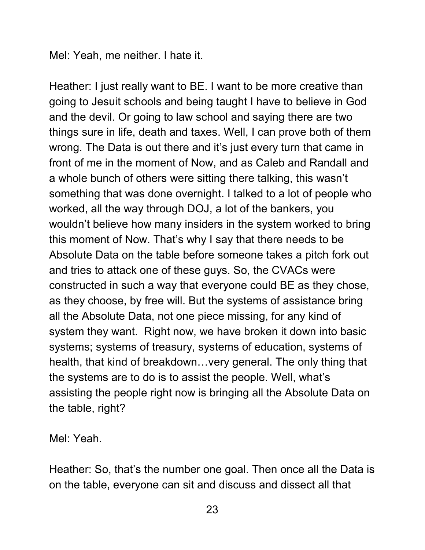Mel: Yeah, me neither. I hate it.

Heather: I just really want to BE. I want to be more creative than going to Jesuit schools and being taught I have to believe in God and the devil. Or going to law school and saying there are two things sure in life, death and taxes. Well, I can prove both of them wrong. The Data is out there and it's just every turn that came in front of me in the moment of Now, and as Caleb and Randall and a whole bunch of others were sitting there talking, this wasn't something that was done overnight. I talked to a lot of people who worked, all the way through DOJ, a lot of the bankers, you wouldn't believe how many insiders in the system worked to bring this moment of Now. That's why I say that there needs to be Absolute Data on the table before someone takes a pitch fork out and tries to attack one of these guys. So, the CVACs were constructed in such a way that everyone could BE as they chose, as they choose, by free will. But the systems of assistance bring all the Absolute Data, not one piece missing, for any kind of system they want. Right now, we have broken it down into basic systems; systems of treasury, systems of education, systems of health, that kind of breakdown…very general. The only thing that the systems are to do is to assist the people. Well, what's assisting the people right now is bringing all the Absolute Data on the table, right?

Mel: Yeah.

Heather: So, that's the number one goal. Then once all the Data is on the table, everyone can sit and discuss and dissect all that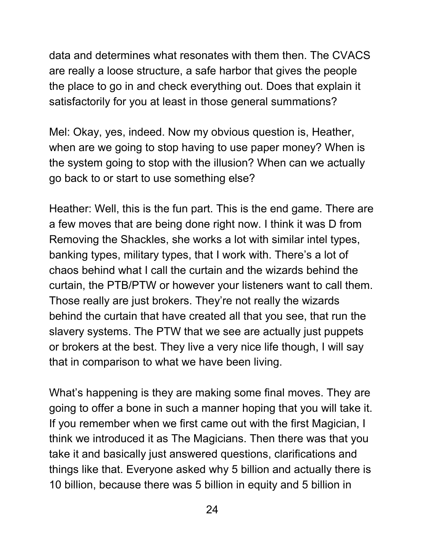data and determines what resonates with them then. The CVACS are really a loose structure, a safe harbor that gives the people the place to go in and check everything out. Does that explain it satisfactorily for you at least in those general summations?

Mel: Okay, yes, indeed. Now my obvious question is, Heather, when are we going to stop having to use paper money? When is the system going to stop with the illusion? When can we actually go back to or start to use something else?

Heather: Well, this is the fun part. This is the end game. There are a few moves that are being done right now. I think it was D from Removing the Shackles, she works a lot with similar intel types, banking types, military types, that I work with. There's a lot of chaos behind what I call the curtain and the wizards behind the curtain, the PTB/PTW or however your listeners want to call them. Those really are just brokers. They're not really the wizards behind the curtain that have created all that you see, that run the slavery systems. The PTW that we see are actually just puppets or brokers at the best. They live a very nice life though, I will say that in comparison to what we have been living.

What's happening is they are making some final moves. They are going to offer a bone in such a manner hoping that you will take it. If you remember when we first came out with the first Magician, I think we introduced it as The Magicians. Then there was that you take it and basically just answered questions, clarifications and things like that. Everyone asked why 5 billion and actually there is 10 billion, because there was 5 billion in equity and 5 billion in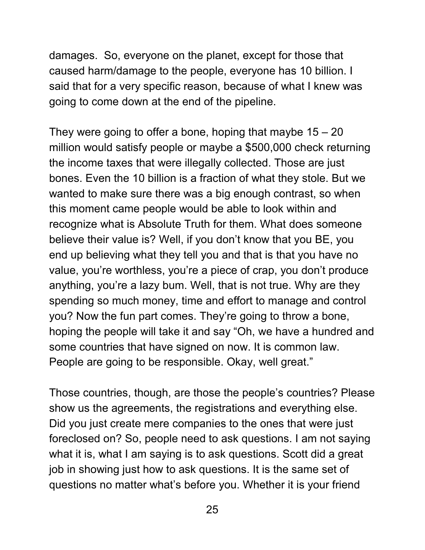damages. So, everyone on the planet, except for those that caused harm/damage to the people, everyone has 10 billion. I said that for a very specific reason, because of what I knew was going to come down at the end of the pipeline.

They were going to offer a bone, hoping that maybe 15 – 20 million would satisfy people or maybe a \$500,000 check returning the income taxes that were illegally collected. Those are just bones. Even the 10 billion is a fraction of what they stole. But we wanted to make sure there was a big enough contrast, so when this moment came people would be able to look within and recognize what is Absolute Truth for them. What does someone believe their value is? Well, if you don't know that you BE, you end up believing what they tell you and that is that you have no value, you're worthless, you're a piece of crap, you don't produce anything, you're a lazy bum. Well, that is not true. Why are they spending so much money, time and effort to manage and control you? Now the fun part comes. They're going to throw a bone, hoping the people will take it and say "Oh, we have a hundred and some countries that have signed on now. It is common law. People are going to be responsible. Okay, well great."

Those countries, though, are those the people's countries? Please show us the agreements, the registrations and everything else. Did you just create mere companies to the ones that were just foreclosed on? So, people need to ask questions. I am not saying what it is, what I am saying is to ask questions. Scott did a great job in showing just how to ask questions. It is the same set of questions no matter what's before you. Whether it is your friend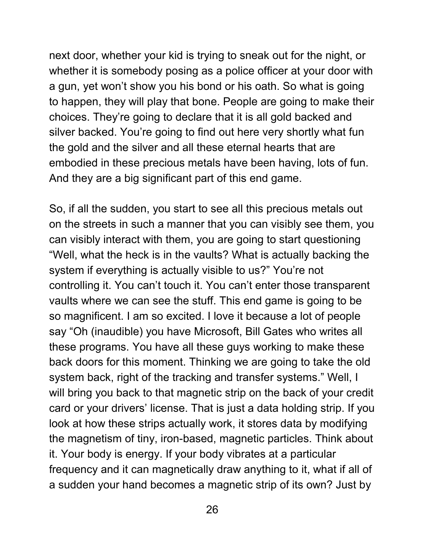next door, whether your kid is trying to sneak out for the night, or whether it is somebody posing as a police officer at your door with a gun, yet won't show you his bond or his oath. So what is going to happen, they will play that bone. People are going to make their choices. They're going to declare that it is all gold backed and silver backed. You're going to find out here very shortly what fun the gold and the silver and all these eternal hearts that are embodied in these precious metals have been having, lots of fun. And they are a big significant part of this end game.

So, if all the sudden, you start to see all this precious metals out on the streets in such a manner that you can visibly see them, you can visibly interact with them, you are going to start questioning "Well, what the heck is in the vaults? What is actually backing the system if everything is actually visible to us?" You're not controlling it. You can't touch it. You can't enter those transparent vaults where we can see the stuff. This end game is going to be so magnificent. I am so excited. I love it because a lot of people say "Oh (inaudible) you have Microsoft, Bill Gates who writes all these programs. You have all these guys working to make these back doors for this moment. Thinking we are going to take the old system back, right of the tracking and transfer systems." Well, I will bring you back to that magnetic strip on the back of your credit card or your drivers' license. That is just a data holding strip. If you look at how these strips actually work, it stores data by modifying the magnetism of tiny, iron-based, magnetic particles. Think about it. Your body is energy. If your body vibrates at a particular frequency and it can magnetically draw anything to it, what if all of a sudden your hand becomes a magnetic strip of its own? Just by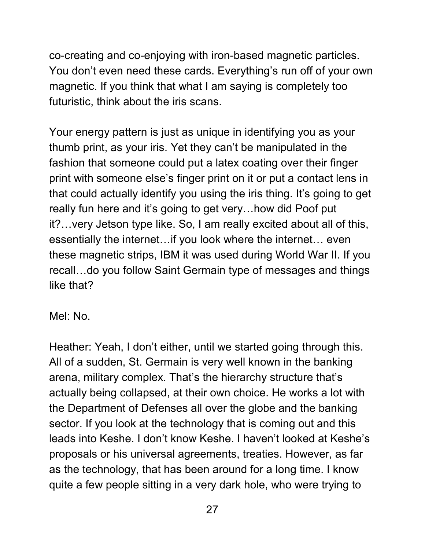co-creating and co-enjoying with iron-based magnetic particles. You don't even need these cards. Everything's run off of your own magnetic. If you think that what I am saying is completely too futuristic, think about the iris scans.

Your energy pattern is just as unique in identifying you as your thumb print, as your iris. Yet they can't be manipulated in the fashion that someone could put a latex coating over their finger print with someone else's finger print on it or put a contact lens in that could actually identify you using the iris thing. It's going to get really fun here and it's going to get very…how did Poof put it?…very Jetson type like. So, I am really excited about all of this, essentially the internet…if you look where the internet… even these magnetic strips, IBM it was used during World War II. If you recall…do you follow Saint Germain type of messages and things like that?

Mel: No.

Heather: Yeah, I don't either, until we started going through this. All of a sudden, St. Germain is very well known in the banking arena, military complex. That's the hierarchy structure that's actually being collapsed, at their own choice. He works a lot with the Department of Defenses all over the globe and the banking sector. If you look at the technology that is coming out and this leads into Keshe. I don't know Keshe. I haven't looked at Keshe's proposals or his universal agreements, treaties. However, as far as the technology, that has been around for a long time. I know quite a few people sitting in a very dark hole, who were trying to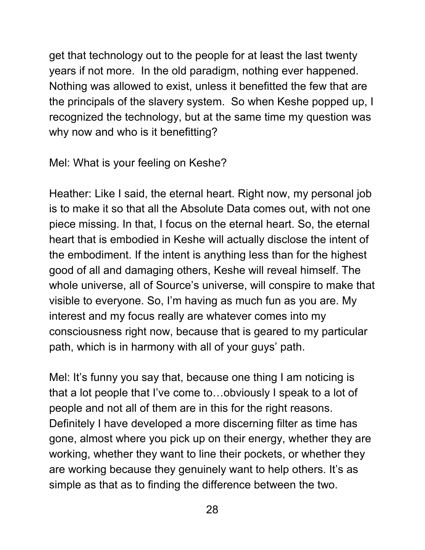get that technology out to the people for at least the last twenty years if not more. In the old paradigm, nothing ever happened. Nothing was allowed to exist, unless it benefitted the few that are the principals of the slavery system. So when Keshe popped up, I recognized the technology, but at the same time my question was why now and who is it benefitting?

Mel: What is your feeling on Keshe?

Heather: Like I said, the eternal heart. Right now, my personal job is to make it so that all the Absolute Data comes out, with not one piece missing. In that, I focus on the eternal heart. So, the eternal heart that is embodied in Keshe will actually disclose the intent of the embodiment. If the intent is anything less than for the highest good of all and damaging others, Keshe will reveal himself. The whole universe, all of Source's universe, will conspire to make that visible to everyone. So, I'm having as much fun as you are. My interest and my focus really are whatever comes into my consciousness right now, because that is geared to my particular path, which is in harmony with all of your guys' path.

Mel: It's funny you say that, because one thing I am noticing is that a lot people that I've come to…obviously I speak to a lot of people and not all of them are in this for the right reasons. Definitely I have developed a more discerning filter as time has gone, almost where you pick up on their energy, whether they are working, whether they want to line their pockets, or whether they are working because they genuinely want to help others. It's as simple as that as to finding the difference between the two.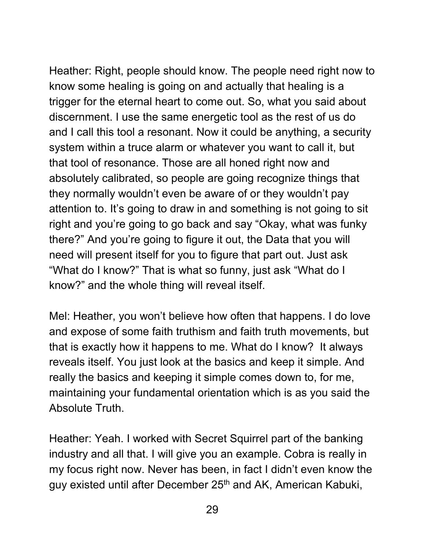Heather: Right, people should know. The people need right now to know some healing is going on and actually that healing is a trigger for the eternal heart to come out. So, what you said about discernment. I use the same energetic tool as the rest of us do and I call this tool a resonant. Now it could be anything, a security system within a truce alarm or whatever you want to call it, but that tool of resonance. Those are all honed right now and absolutely calibrated, so people are going recognize things that they normally wouldn't even be aware of or they wouldn't pay attention to. It's going to draw in and something is not going to sit right and you're going to go back and say "Okay, what was funky there?" And you're going to figure it out, the Data that you will need will present itself for you to figure that part out. Just ask "What do I know?" That is what so funny, just ask "What do I know?" and the whole thing will reveal itself.

Mel: Heather, you won't believe how often that happens. I do love and expose of some faith truthism and faith truth movements, but that is exactly how it happens to me. What do I know? It always reveals itself. You just look at the basics and keep it simple. And really the basics and keeping it simple comes down to, for me, maintaining your fundamental orientation which is as you said the Absolute Truth.

Heather: Yeah. I worked with Secret Squirrel part of the banking industry and all that. I will give you an example. Cobra is really in my focus right now. Never has been, in fact I didn't even know the guy existed until after December 25th and AK, American Kabuki,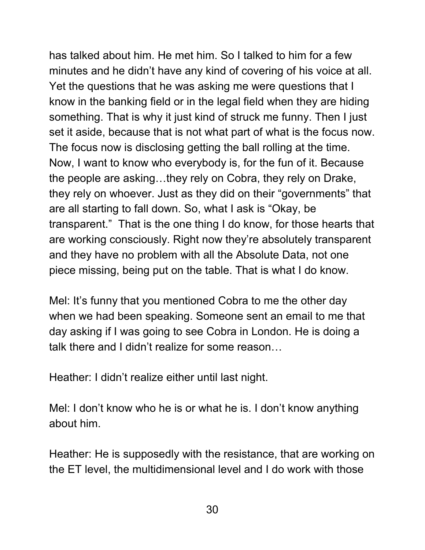has talked about him. He met him. So I talked to him for a few minutes and he didn't have any kind of covering of his voice at all. Yet the questions that he was asking me were questions that I know in the banking field or in the legal field when they are hiding something. That is why it just kind of struck me funny. Then I just set it aside, because that is not what part of what is the focus now. The focus now is disclosing getting the ball rolling at the time. Now, I want to know who everybody is, for the fun of it. Because the people are asking…they rely on Cobra, they rely on Drake, they rely on whoever. Just as they did on their "governments" that are all starting to fall down. So, what I ask is "Okay, be transparent." That is the one thing I do know, for those hearts that are working consciously. Right now they're absolutely transparent and they have no problem with all the Absolute Data, not one piece missing, being put on the table. That is what I do know.

Mel: It's funny that you mentioned Cobra to me the other day when we had been speaking. Someone sent an email to me that day asking if I was going to see Cobra in London. He is doing a talk there and I didn't realize for some reason…

Heather: I didn't realize either until last night.

Mel: I don't know who he is or what he is. I don't know anything about him.

Heather: He is supposedly with the resistance, that are working on the ET level, the multidimensional level and I do work with those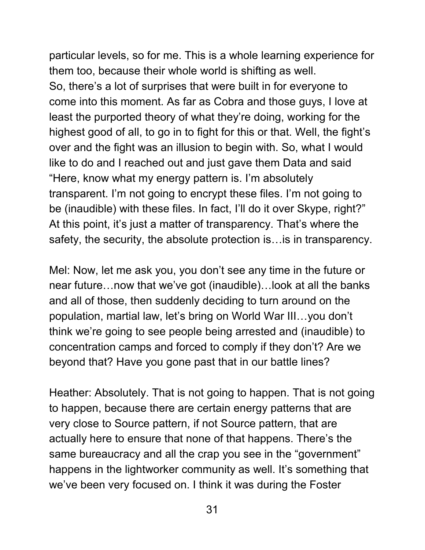particular levels, so for me. This is a whole learning experience for them too, because their whole world is shifting as well. So, there's a lot of surprises that were built in for everyone to come into this moment. As far as Cobra and those guys, I love at least the purported theory of what they're doing, working for the highest good of all, to go in to fight for this or that. Well, the fight's over and the fight was an illusion to begin with. So, what I would like to do and I reached out and just gave them Data and said "Here, know what my energy pattern is. I'm absolutely transparent. I'm not going to encrypt these files. I'm not going to be (inaudible) with these files. In fact, I'll do it over Skype, right?" At this point, it's just a matter of transparency. That's where the safety, the security, the absolute protection is…is in transparency.

Mel: Now, let me ask you, you don't see any time in the future or near future…now that we've got (inaudible)…look at all the banks and all of those, then suddenly deciding to turn around on the population, martial law, let's bring on World War III…you don't think we're going to see people being arrested and (inaudible) to concentration camps and forced to comply if they don't? Are we beyond that? Have you gone past that in our battle lines?

Heather: Absolutely. That is not going to happen. That is not going to happen, because there are certain energy patterns that are very close to Source pattern, if not Source pattern, that are actually here to ensure that none of that happens. There's the same bureaucracy and all the crap you see in the "government" happens in the lightworker community as well. It's something that we've been very focused on. I think it was during the Foster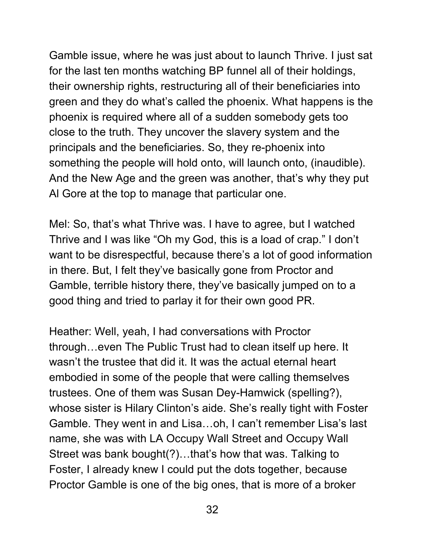Gamble issue, where he was just about to launch Thrive. I just sat for the last ten months watching BP funnel all of their holdings, their ownership rights, restructuring all of their beneficiaries into green and they do what's called the phoenix. What happens is the phoenix is required where all of a sudden somebody gets too close to the truth. They uncover the slavery system and the principals and the beneficiaries. So, they re-phoenix into something the people will hold onto, will launch onto, (inaudible). And the New Age and the green was another, that's why they put Al Gore at the top to manage that particular one.

Mel: So, that's what Thrive was. I have to agree, but I watched Thrive and I was like "Oh my God, this is a load of crap." I don't want to be disrespectful, because there's a lot of good information in there. But, I felt they've basically gone from Proctor and Gamble, terrible history there, they've basically jumped on to a good thing and tried to parlay it for their own good PR.

Heather: Well, yeah, I had conversations with Proctor through…even The Public Trust had to clean itself up here. It wasn't the trustee that did it. It was the actual eternal heart embodied in some of the people that were calling themselves trustees. One of them was Susan Dey-Hamwick (spelling?), whose sister is Hilary Clinton's aide. She's really tight with Foster Gamble. They went in and Lisa…oh, I can't remember Lisa's last name, she was with LA Occupy Wall Street and Occupy Wall Street was bank bought(?)…that's how that was. Talking to Foster, I already knew I could put the dots together, because Proctor Gamble is one of the big ones, that is more of a broker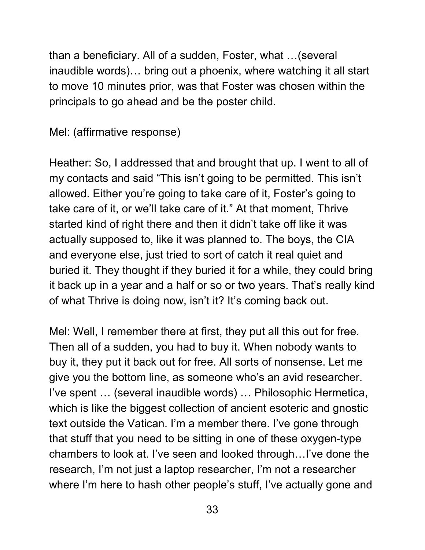than a beneficiary. All of a sudden, Foster, what …(several inaudible words)… bring out a phoenix, where watching it all start to move 10 minutes prior, was that Foster was chosen within the principals to go ahead and be the poster child.

Mel: (affirmative response)

Heather: So, I addressed that and brought that up. I went to all of my contacts and said "This isn't going to be permitted. This isn't allowed. Either you're going to take care of it, Foster's going to take care of it, or we'll take care of it." At that moment, Thrive started kind of right there and then it didn't take off like it was actually supposed to, like it was planned to. The boys, the CIA and everyone else, just tried to sort of catch it real quiet and buried it. They thought if they buried it for a while, they could bring it back up in a year and a half or so or two years. That's really kind of what Thrive is doing now, isn't it? It's coming back out.

Mel: Well, I remember there at first, they put all this out for free. Then all of a sudden, you had to buy it. When nobody wants to buy it, they put it back out for free. All sorts of nonsense. Let me give you the bottom line, as someone who's an avid researcher. I've spent … (several inaudible words) … Philosophic Hermetica, which is like the biggest collection of ancient esoteric and gnostic text outside the Vatican. I'm a member there. I've gone through that stuff that you need to be sitting in one of these oxygen-type chambers to look at. I've seen and looked through…I've done the research, I'm not just a laptop researcher, I'm not a researcher where I'm here to hash other people's stuff, I've actually gone and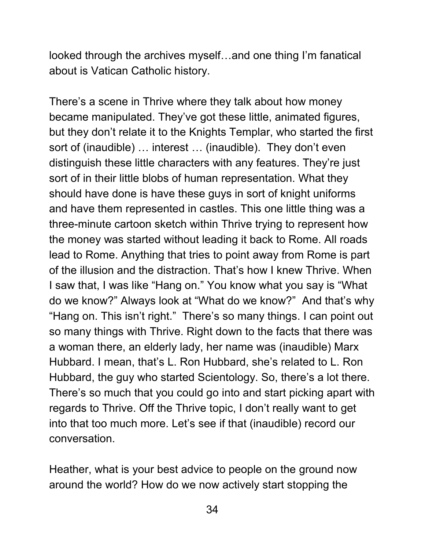looked through the archives myself…and one thing I'm fanatical about is Vatican Catholic history.

There's a scene in Thrive where they talk about how money became manipulated. They've got these little, animated figures, but they don't relate it to the Knights Templar, who started the first sort of (inaudible) … interest … (inaudible). They don't even distinguish these little characters with any features. They're just sort of in their little blobs of human representation. What they should have done is have these guys in sort of knight uniforms and have them represented in castles. This one little thing was a three-minute cartoon sketch within Thrive trying to represent how the money was started without leading it back to Rome. All roads lead to Rome. Anything that tries to point away from Rome is part of the illusion and the distraction. That's how I knew Thrive. When I saw that, I was like "Hang on." You know what you say is "What do we know?" Always look at "What do we know?" And that's why "Hang on. This isn't right." There's so many things. I can point out so many things with Thrive. Right down to the facts that there was a woman there, an elderly lady, her name was (inaudible) Marx Hubbard. I mean, that's L. Ron Hubbard, she's related to L. Ron Hubbard, the guy who started Scientology. So, there's a lot there. There's so much that you could go into and start picking apart with regards to Thrive. Off the Thrive topic, I don't really want to get into that too much more. Let's see if that (inaudible) record our conversation.

Heather, what is your best advice to people on the ground now around the world? How do we now actively start stopping the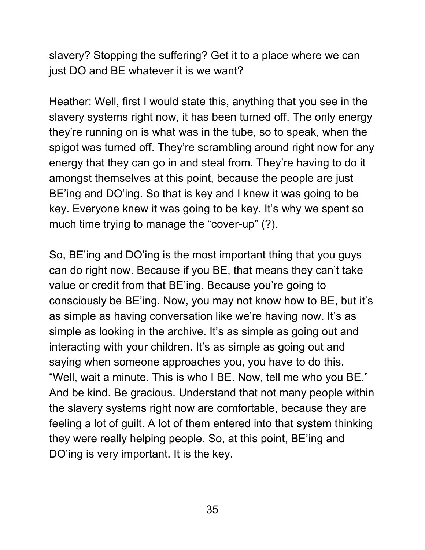slavery? Stopping the suffering? Get it to a place where we can just DO and BE whatever it is we want?

Heather: Well, first I would state this, anything that you see in the slavery systems right now, it has been turned off. The only energy they're running on is what was in the tube, so to speak, when the spigot was turned off. They're scrambling around right now for any energy that they can go in and steal from. They're having to do it amongst themselves at this point, because the people are just BE'ing and DO'ing. So that is key and I knew it was going to be key. Everyone knew it was going to be key. It's why we spent so much time trying to manage the "cover-up" (?).

So, BE'ing and DO'ing is the most important thing that you guys can do right now. Because if you BE, that means they can't take value or credit from that BE'ing. Because you're going to consciously be BE'ing. Now, you may not know how to BE, but it's as simple as having conversation like we're having now. It's as simple as looking in the archive. It's as simple as going out and interacting with your children. It's as simple as going out and saying when someone approaches you, you have to do this. "Well, wait a minute. This is who I BE. Now, tell me who you BE." And be kind. Be gracious. Understand that not many people within the slavery systems right now are comfortable, because they are feeling a lot of guilt. A lot of them entered into that system thinking they were really helping people. So, at this point, BE'ing and DO'ing is very important. It is the key.